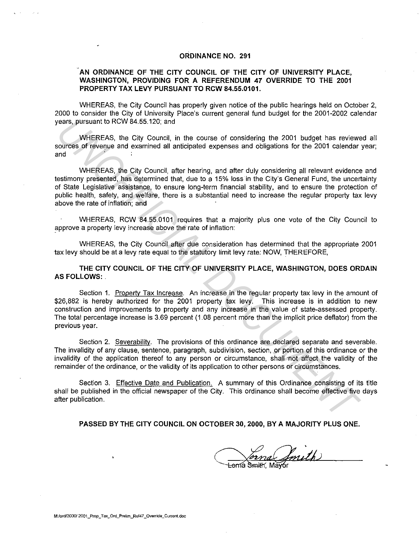## **ORDINANCE NO. 291**

## **.AN ORDINANCE OF THE CITY COUNCIL OF THE CITY OF UNIVERSITY PLACE, WASHINGTON, PROVIDING FOR A REFERENDUM 47 OVERRIDE TO THE 2001 PROPERTY TAX LEVY PURSUANT TO RCW 84.55.0101.**

WHEREAS, the City Council has properly given notice of the public hearings held on October 2, 2000 to consider the City of University Place's current general fund budget for the 2001-2002 calendar years, pursuant to RCW 84.55.120; and

WHEREAS, the City Council, in the course of considering the 2001 budget has reviewed all sources of revenue and examined all anticipated expenses and obligations for the 2001 calendar year; and

WHEREAS, the City Council, after hearing, and after duly considering all relevant evidence and testimony presented, has determined that, due to a 15% loss in the City's General Fund, the uncertainty of State Legislative assistance, to ensure long-term financial stability, and to ensure the protection of public health, safety, and welfare, there is a substantial need to increase the regular property tax levy above the rate of inflation; and rears, pursuant to RCW 84.55.120; and<br>
WHEREAS, the City Council, in the course of considering the 2001 budget has reviewed<br>
sources of revenue and examined all anticipated expenses and obligations for the 2001 calendar<br>
w

WHEREAS, RCW 84.55.0101 requires that a majority plus one vote of the City Council to approve a property levy increase above the rate of inflation:

WHEREAS, the City Council after due consideration has determined that the appropriate 2001 tax levy should be at a levy rate equal to the statutory limit levy rate: NOW, THEREFORE,

**THE CITY COUNCIL OF THE CITY OF UNIVERSITY PLACE, WASHINGTON, DOES ORDAIN AS FOLLOWS:** 

Section 1. Propertv Tax Increase. An increase in the regular property tax levy in the amount of \$26,882 is hereby authorized for the 2001 property tax levy. This increase is in addition to new construction and improvements to property and any increase in the value of state-assessed property. The total percentage increase is 3.69 percent (1.08 percent more than the implicit price deflator) from the previous year.

Section 2. Severability. The provisions of this ordinance are declared separate and severable. The invalidity of any clause, sentence, paragraph, subdivision, section, or portion of this ordinance or the invalidity of the application thereof to any person or circumstance, shall ·not affect the validity of the remainder of the ordinance, or the validity of its application to other persons or circumstances.

Section 3. Effective Date and Publication. A summary of this Ordinance consisting of its title shall be published in the official newspaper of the City. This ordinance shall become effective five days after publication.

**PASSED BY THE CITY COUNCIL ON OCTOBER 30, 2000, BY A MAJORITY PLUS ONE.** 

mna Smith)